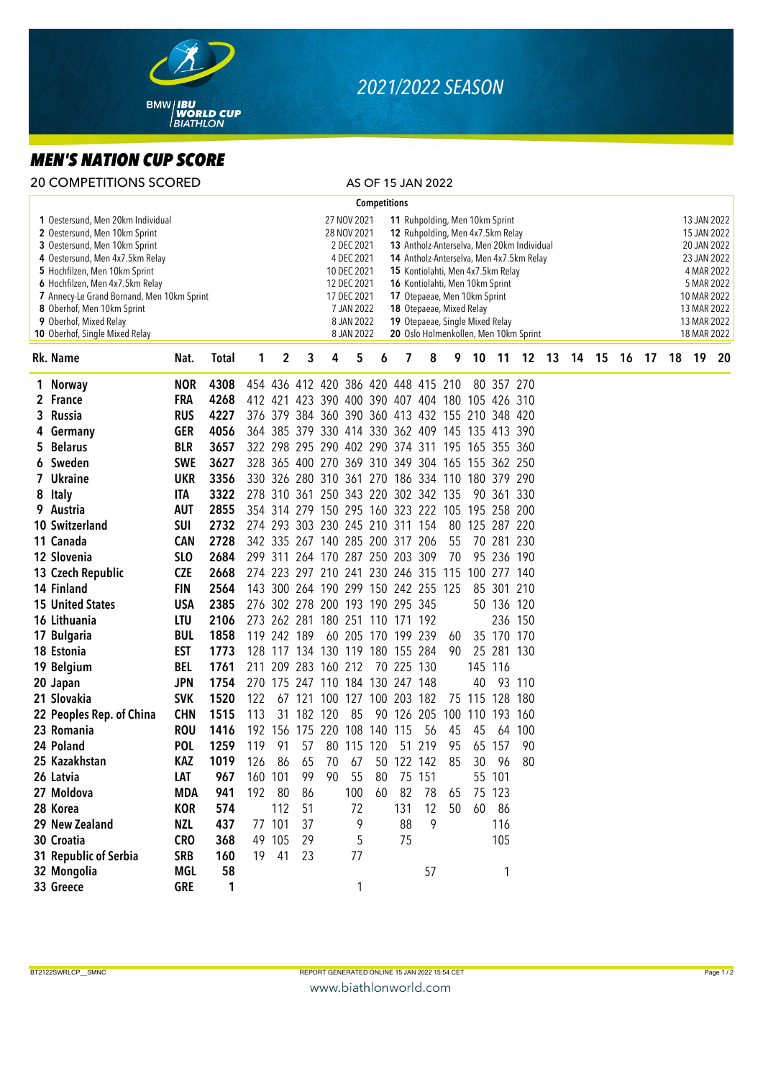

## *2021/2022 SEASON*

## *MEN'S NATION CUP SCORE*

|                                                                                                                                                                                                                                                                                                                                                    | <b>20 COMPETITIONS SCORED</b> |                 |              |                                                                                                                                                                                                                                                                                                                                                                                                                                                                                                                               |             |                                                 |    |     |                    | AS OF 15 JAN 2022 |            |     |                |            |         |  |       |  |                                                                                                                                                  |  |          |    |
|----------------------------------------------------------------------------------------------------------------------------------------------------------------------------------------------------------------------------------------------------------------------------------------------------------------------------------------------------|-------------------------------|-----------------|--------------|-------------------------------------------------------------------------------------------------------------------------------------------------------------------------------------------------------------------------------------------------------------------------------------------------------------------------------------------------------------------------------------------------------------------------------------------------------------------------------------------------------------------------------|-------------|-------------------------------------------------|----|-----|--------------------|-------------------|------------|-----|----------------|------------|---------|--|-------|--|--------------------------------------------------------------------------------------------------------------------------------------------------|--|----------|----|
| <b>Competitions</b>                                                                                                                                                                                                                                                                                                                                |                               |                 |              |                                                                                                                                                                                                                                                                                                                                                                                                                                                                                                                               |             |                                                 |    |     |                    |                   |            |     |                |            |         |  |       |  |                                                                                                                                                  |  |          |    |
| 1 Oestersund, Men 20km Individual<br>2 Oestersund, Men 10km Sprint<br>3 Oestersund, Men 10km Sprint<br>4 Oestersund, Men 4x7.5km Relay<br>5 Hochfilzen, Men 10km Sprint<br>6 Hochfilzen, Men 4x7.5km Relay<br>7 Annecy-Le Grand Bornand, Men 10km Sprint<br>8 Oberhof, Men 10km Sprint<br>9 Oberhof, Mixed Relay<br>10 Oberhof, Single Mixed Relay |                               |                 |              | 27 NOV 2021<br>11 Ruhpolding, Men 10km Sprint<br>28 NOV 2021<br>12 Ruhpolding, Men 4x7.5km Relay<br>2 DEC 2021<br>13 Antholz-Anterselva, Men 20km Individual<br>4 DEC 2021<br>14 Antholz-Anterselva, Men 4x7.5km Relay<br>10 DEC 2021<br>15 Kontiolahti, Men 4x7.5km Relay<br>12 DEC 2021<br>16 Kontiolahti, Men 10km Sprint<br>17 DEC 2021<br>17 Otepaeae, Men 10km Sprint<br>7 JAN 2022<br>18 Otepaeae, Mixed Relay<br>8 JAN 2022<br>19 Otepaeae, Single Mixed Relay<br>20 Oslo Holmenkollen, Men 10km Sprint<br>8 JAN 2022 |             |                                                 |    |     |                    |                   |            |     |                |            |         |  |       |  | 13 JAN 2022<br>15 JAN 2022<br>20 JAN 2022<br>23 JAN 2022<br>4 MAR 2022<br>5 MAR 2022<br>10 MAR 2022<br>13 MAR 2022<br>13 MAR 2022<br>18 MAR 2022 |  |          |    |
|                                                                                                                                                                                                                                                                                                                                                    | Rk. Name                      | Nat.            | <b>Total</b> | 1                                                                                                                                                                                                                                                                                                                                                                                                                                                                                                                             | 2           | 3                                               | 4  | 5   | 6                  | 7                 | 8          | 9   | 10             | $-11$      | 12 13   |  | 14 15 |  | 16                                                                                                                                               |  | 17 18 19 | 20 |
|                                                                                                                                                                                                                                                                                                                                                    | 1 Norway                      | <b>NOR</b>      | 4308         |                                                                                                                                                                                                                                                                                                                                                                                                                                                                                                                               |             | 454 436 412 420 386 420 448 415 210             |    |     |                    |                   |            |     |                | 80 357 270 |         |  |       |  |                                                                                                                                                  |  |          |    |
|                                                                                                                                                                                                                                                                                                                                                    | 2 France                      | FRA             | 4268         |                                                                                                                                                                                                                                                                                                                                                                                                                                                                                                                               |             | 412 421 423 390 400 390 407 404 180 105 426 310 |    |     |                    |                   |            |     |                |            |         |  |       |  |                                                                                                                                                  |  |          |    |
|                                                                                                                                                                                                                                                                                                                                                    | 3 Russia                      | <b>RUS</b>      | 4227         |                                                                                                                                                                                                                                                                                                                                                                                                                                                                                                                               |             | 376 379 384 360 390 360 413 432 155 210 348 420 |    |     |                    |                   |            |     |                |            |         |  |       |  |                                                                                                                                                  |  |          |    |
|                                                                                                                                                                                                                                                                                                                                                    | 4 Germany                     | <b>GER</b>      | 4056         |                                                                                                                                                                                                                                                                                                                                                                                                                                                                                                                               |             | 364 385 379 330 414 330 362 409 145 135 413 390 |    |     |                    |                   |            |     |                |            |         |  |       |  |                                                                                                                                                  |  |          |    |
|                                                                                                                                                                                                                                                                                                                                                    | 5 Belarus                     | <b>BLR</b>      | 3657         |                                                                                                                                                                                                                                                                                                                                                                                                                                                                                                                               |             | 322 298 295 290 402 290 374 311 195 165 355 360 |    |     |                    |                   |            |     |                |            |         |  |       |  |                                                                                                                                                  |  |          |    |
|                                                                                                                                                                                                                                                                                                                                                    | 6 Sweden                      | <b>SWE</b>      | 3627         |                                                                                                                                                                                                                                                                                                                                                                                                                                                                                                                               |             | 328 365 400 270 369 310 349 304 165 155 362 250 |    |     |                    |                   |            |     |                |            |         |  |       |  |                                                                                                                                                  |  |          |    |
|                                                                                                                                                                                                                                                                                                                                                    | 7 Ukraine                     | <b>UKR</b>      | 3356         |                                                                                                                                                                                                                                                                                                                                                                                                                                                                                                                               |             | 330 326 280 310 361 270 186 334 110 180 379 290 |    |     |                    |                   |            |     |                |            |         |  |       |  |                                                                                                                                                  |  |          |    |
|                                                                                                                                                                                                                                                                                                                                                    | 8 Italy                       | ITA             | 3322         |                                                                                                                                                                                                                                                                                                                                                                                                                                                                                                                               |             | 278 310 361 250 343 220 302 342 135             |    |     |                    |                   |            |     |                | 90 361 330 |         |  |       |  |                                                                                                                                                  |  |          |    |
|                                                                                                                                                                                                                                                                                                                                                    | 9 Austria                     | <b>AUT</b>      | 2855         |                                                                                                                                                                                                                                                                                                                                                                                                                                                                                                                               |             | 354 314 279 150 295 160 323 222 105 195 258 200 |    |     |                    |                   |            |     |                |            |         |  |       |  |                                                                                                                                                  |  |          |    |
|                                                                                                                                                                                                                                                                                                                                                    | 10 Switzerland                | <b>SUI</b>      | 2732         |                                                                                                                                                                                                                                                                                                                                                                                                                                                                                                                               |             | 274 293 303 230 245 210 311 154                 |    |     |                    |                   |            |     | 80 125 287 220 |            |         |  |       |  |                                                                                                                                                  |  |          |    |
|                                                                                                                                                                                                                                                                                                                                                    | 11 Canada                     | <b>CAN</b>      | 2728         |                                                                                                                                                                                                                                                                                                                                                                                                                                                                                                                               |             | 342 335 267 140 285 200 317 206                 |    |     |                    |                   |            | 55  |                | 70 281 230 |         |  |       |  |                                                                                                                                                  |  |          |    |
|                                                                                                                                                                                                                                                                                                                                                    | 12 Slovenia                   | SL <sub>0</sub> | 2684         |                                                                                                                                                                                                                                                                                                                                                                                                                                                                                                                               |             | 299 311 264 170 287 250 203 309                 |    |     |                    |                   |            | 70  |                | 95 236 190 |         |  |       |  |                                                                                                                                                  |  |          |    |
|                                                                                                                                                                                                                                                                                                                                                    | 13 Czech Republic             | <b>CZE</b>      | 2668         |                                                                                                                                                                                                                                                                                                                                                                                                                                                                                                                               |             | 274 223 297 210 241 230 246 315 115 100 277 140 |    |     |                    |                   |            |     |                |            |         |  |       |  |                                                                                                                                                  |  |          |    |
|                                                                                                                                                                                                                                                                                                                                                    | 14 Finland                    | <b>FIN</b>      | 2564         |                                                                                                                                                                                                                                                                                                                                                                                                                                                                                                                               |             | 143 300 264 190 299 150 242 255 125             |    |     |                    |                   |            |     |                | 85 301 210 |         |  |       |  |                                                                                                                                                  |  |          |    |
|                                                                                                                                                                                                                                                                                                                                                    | <b>15 United States</b>       | <b>USA</b>      | 2385         |                                                                                                                                                                                                                                                                                                                                                                                                                                                                                                                               |             | 276 302 278 200 193 190 295 345                 |    |     |                    |                   |            |     |                | 50 136 120 |         |  |       |  |                                                                                                                                                  |  |          |    |
|                                                                                                                                                                                                                                                                                                                                                    | 16 Lithuania                  | LTU             | 2106         |                                                                                                                                                                                                                                                                                                                                                                                                                                                                                                                               |             | 273 262 281 180 251 110 171 192                 |    |     |                    |                   |            |     |                |            | 236 150 |  |       |  |                                                                                                                                                  |  |          |    |
|                                                                                                                                                                                                                                                                                                                                                    | 17 Bulgaria                   | <b>BUL</b>      | 1858         |                                                                                                                                                                                                                                                                                                                                                                                                                                                                                                                               | 119 242 189 |                                                 |    |     | 60 205 170 199 239 |                   |            | 60  |                | 35 170 170 |         |  |       |  |                                                                                                                                                  |  |          |    |
|                                                                                                                                                                                                                                                                                                                                                    | 18 Estonia                    | <b>EST</b>      | 1773         |                                                                                                                                                                                                                                                                                                                                                                                                                                                                                                                               |             | 128 117 134 130 119 180 155 284                 |    |     |                    |                   |            | 90  |                | 25 281 130 |         |  |       |  |                                                                                                                                                  |  |          |    |
|                                                                                                                                                                                                                                                                                                                                                    | 19 Belgium                    | <b>BEL</b>      | 1761         |                                                                                                                                                                                                                                                                                                                                                                                                                                                                                                                               |             | 211 209 283 160 212                             |    |     |                    | 70 225 130        |            |     |                | 145 116    |         |  |       |  |                                                                                                                                                  |  |          |    |
|                                                                                                                                                                                                                                                                                                                                                    | 20 Japan                      | <b>JPN</b>      | 1754         |                                                                                                                                                                                                                                                                                                                                                                                                                                                                                                                               |             | 270 175 247 110 184 130 247 148                 |    |     |                    |                   |            |     | 40             |            | 93 110  |  |       |  |                                                                                                                                                  |  |          |    |
|                                                                                                                                                                                                                                                                                                                                                    | 21 Slovakia                   | <b>SVK</b>      | 1520         | 122                                                                                                                                                                                                                                                                                                                                                                                                                                                                                                                           |             | 67 121 100 127 100 203 182                      |    |     |                    |                   |            |     | 75 115 128 180 |            |         |  |       |  |                                                                                                                                                  |  |          |    |
|                                                                                                                                                                                                                                                                                                                                                    | 22 Peoples Rep. of China      | <b>CHN</b>      | 1515         | 113                                                                                                                                                                                                                                                                                                                                                                                                                                                                                                                           |             | 31 182 120                                      |    | 85  |                    |                   | 90 126 205 | 100 | 110 193 160    |            |         |  |       |  |                                                                                                                                                  |  |          |    |
|                                                                                                                                                                                                                                                                                                                                                    | 23 Romania                    | <b>ROU</b>      | 1416         |                                                                                                                                                                                                                                                                                                                                                                                                                                                                                                                               |             | 192 156 175 220 108 140 115                     |    |     |                    |                   | 56         | 45  | 45             |            | 64 100  |  |       |  |                                                                                                                                                  |  |          |    |
|                                                                                                                                                                                                                                                                                                                                                    | 24 Poland                     | <b>POL</b>      | 1259         | 119                                                                                                                                                                                                                                                                                                                                                                                                                                                                                                                           | 91          | 57                                              |    |     | 80 115 120         |                   | 51 219     | 95  |                | 65 157     | 90      |  |       |  |                                                                                                                                                  |  |          |    |
|                                                                                                                                                                                                                                                                                                                                                    | 25 Kazakhstan                 | KAZ             | 1019         | 126                                                                                                                                                                                                                                                                                                                                                                                                                                                                                                                           | 86          | 65                                              | 70 | 67  |                    | 50 122 142        |            | 85  | 30             | 96 80      |         |  |       |  |                                                                                                                                                  |  |          |    |
|                                                                                                                                                                                                                                                                                                                                                    | 26 Latvia                     | LAT             | 967          |                                                                                                                                                                                                                                                                                                                                                                                                                                                                                                                               | 160 101     | 99                                              | 90 | 55  | 80                 |                   | 75 151     |     |                | 55 101     |         |  |       |  |                                                                                                                                                  |  |          |    |
|                                                                                                                                                                                                                                                                                                                                                    | 27 Moldova                    | MDA             | 941          |                                                                                                                                                                                                                                                                                                                                                                                                                                                                                                                               | 192 80      | 86                                              |    | 100 | 60                 | 82                | 78         | 65  |                | 75 123     |         |  |       |  |                                                                                                                                                  |  |          |    |
|                                                                                                                                                                                                                                                                                                                                                    | 28 Korea                      | KOR             | 574          |                                                                                                                                                                                                                                                                                                                                                                                                                                                                                                                               | 112         | 51                                              |    | 72  |                    | 131               | 12         | 50  |                | 60 86      |         |  |       |  |                                                                                                                                                  |  |          |    |
|                                                                                                                                                                                                                                                                                                                                                    | 29 New Zealand                | NZL             | 437          |                                                                                                                                                                                                                                                                                                                                                                                                                                                                                                                               | 77 101      | 37                                              |    | 9   |                    | 88                | 9          |     |                | 116        |         |  |       |  |                                                                                                                                                  |  |          |    |
|                                                                                                                                                                                                                                                                                                                                                    | 30 Croatia                    | <b>CRO</b>      | 368          |                                                                                                                                                                                                                                                                                                                                                                                                                                                                                                                               | 49 105      | 29                                              |    | 5   |                    | 75                |            |     |                | 105        |         |  |       |  |                                                                                                                                                  |  |          |    |
|                                                                                                                                                                                                                                                                                                                                                    | 31 Republic of Serbia         | <b>SRB</b>      | 160          |                                                                                                                                                                                                                                                                                                                                                                                                                                                                                                                               | 19 41       | 23                                              |    | 77  |                    |                   |            |     |                |            |         |  |       |  |                                                                                                                                                  |  |          |    |
|                                                                                                                                                                                                                                                                                                                                                    | 32 Mongolia                   | MGL             | 58           |                                                                                                                                                                                                                                                                                                                                                                                                                                                                                                                               |             |                                                 |    |     |                    |                   | 57         |     |                | 1          |         |  |       |  |                                                                                                                                                  |  |          |    |
|                                                                                                                                                                                                                                                                                                                                                    | 33 Greece                     | <b>GRE</b>      | 1            |                                                                                                                                                                                                                                                                                                                                                                                                                                                                                                                               |             |                                                 |    | 1   |                    |                   |            |     |                |            |         |  |       |  |                                                                                                                                                  |  |          |    |
|                                                                                                                                                                                                                                                                                                                                                    |                               |                 |              |                                                                                                                                                                                                                                                                                                                                                                                                                                                                                                                               |             |                                                 |    |     |                    |                   |            |     |                |            |         |  |       |  |                                                                                                                                                  |  |          |    |